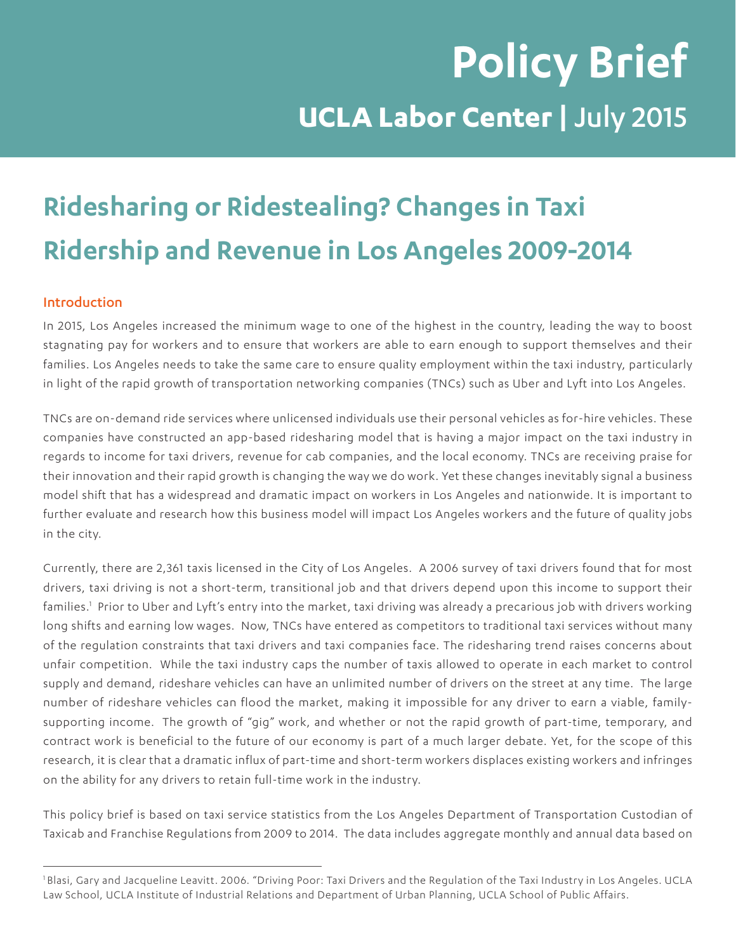# **Policy Brief UCLA Labor Center |** July 2015

# **Ridesharing or Ridestealing? Changes in Taxi Ridership and Revenue in Los Angeles 2009-2014**

# Introduction

In 2015, Los Angeles increased the minimum wage to one of the highest in the country, leading the way to boost stagnating pay for workers and to ensure that workers are able to earn enough to support themselves and their families. Los Angeles needs to take the same care to ensure quality employment within the taxi industry, particularly in light of the rapid growth of transportation networking companies (TNCs) such as Uber and Lyft into Los Angeles.

TNCs are on-demand ride services where unlicensed individuals use their personal vehicles as for-hire vehicles. These companies have constructed an app-based ridesharing model that is having a major impact on the taxi industry in regards to income for taxi drivers, revenue for cab companies, and the local economy. TNCs are receiving praise for their innovation and their rapid growth is changing the way we do work. Yet these changes inevitably signal a business model shift that has a widespread and dramatic impact on workers in Los Angeles and nationwide. It is important to further evaluate and research how this business model will impact Los Angeles workers and the future of quality jobs in the city.

Currently, there are 2,361 taxis licensed in the City of Los Angeles. A 2006 survey of taxi drivers found that for most drivers, taxi driving is not a short-term, transitional job and that drivers depend upon this income to support their families.<sup>1</sup> Prior to Uber and Lyft's entry into the market, taxi driving was already a precarious job with drivers working long shifts and earning low wages. Now, TNCs have entered as competitors to traditional taxi services without many of the regulation constraints that taxi drivers and taxi companies face. The ridesharing trend raises concerns about unfair competition. While the taxi industry caps the number of taxis allowed to operate in each market to control supply and demand, rideshare vehicles can have an unlimited number of drivers on the street at any time. The large number of rideshare vehicles can flood the market, making it impossible for any driver to earn a viable, familysupporting income. The growth of "gig" work, and whether or not the rapid growth of part-time, temporary, and contract work is beneficial to the future of our economy is part of a much larger debate. Yet, for the scope of this research, it is clear that a dramatic influx of part-time and short-term workers displaces existing workers and infringes on the ability for any drivers to retain full-time work in the industry.

This policy brief is based on taxi service statistics from the Los Angeles Department of Transportation Custodian of Taxicab and Franchise Regulations from 2009 to 2014. The data includes aggregate monthly and annual data based on

<sup>1</sup> Blasi, Gary and Jacqueline Leavitt. 2006. "Driving Poor: Taxi Drivers and the Regulation of the Taxi Industry in Los Angeles. UCLA Law School, UCLA Institute of Industrial Relations and Department of Urban Planning, UCLA School of Public Affairs.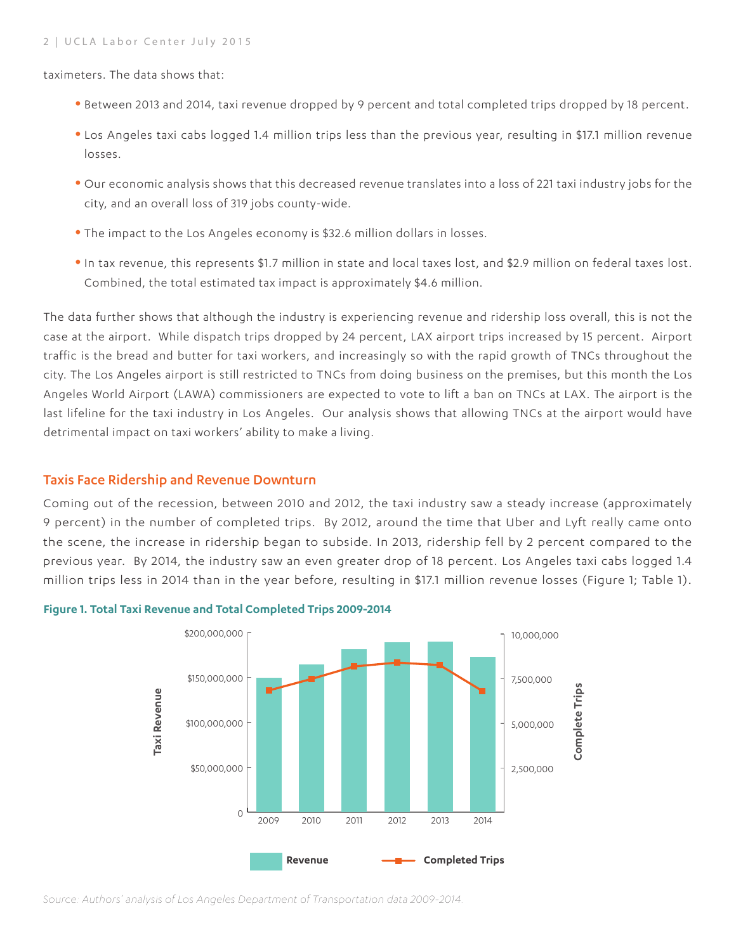taximeters. The data shows that:

- **•** Between 2013 and 2014, taxi revenue dropped by 9 percent and total completed trips dropped by 18 percent.
- **•** Los Angeles taxi cabs logged 1.4 million trips less than the previous year, resulting in \$17.1 million revenue losses.
- **•** Our economic analysis shows that this decreased revenue translates into a loss of 221 taxi industry jobs for the city, and an overall loss of 319 jobs county-wide.
- **•** The impact to the Los Angeles economy is \$32.6 million dollars in losses.
- **•**In tax revenue, this represents \$1.7 million in state and local taxes lost, and \$2.9 million on federal taxes lost. Combined, the total estimated tax impact is approximately \$4.6 million.

The data further shows that although the industry is experiencing revenue and ridership loss overall, this is not the case at the airport. While dispatch trips dropped by 24 percent, LAX airport trips increased by 15 percent. Airport traffic is the bread and butter for taxi workers, and increasingly so with the rapid growth of TNCs throughout the city. The Los Angeles airport is still restricted to TNCs from doing business on the premises, but this month the Los Angeles World Airport (LAWA) commissioners are expected to vote to lift a ban on TNCs at LAX. The airport is the last lifeline for the taxi industry in Los Angeles. Our analysis shows that allowing TNCs at the airport would have detrimental impact on taxi workers' ability to make a living.

#### Taxis Face Ridership and Revenue Downturn

Coming out of the recession, between 2010 and 2012, the taxi industry saw a steady increase (approximately 9 percent) in the number of completed trips. By 2012, around the time that Uber and Lyft really came onto the scene, the increase in ridership began to subside. In 2013, ridership fell by 2 percent compared to the previous year. By 2014, the industry saw an even greater drop of 18 percent. Los Angeles taxi cabs logged 1.4 million trips less in 2014 than in the year before, resulting in \$17.1 million revenue losses (Figure 1; Table 1).



#### **Figure 1. Total Taxi Revenue and Total Completed Trips 2009-2014**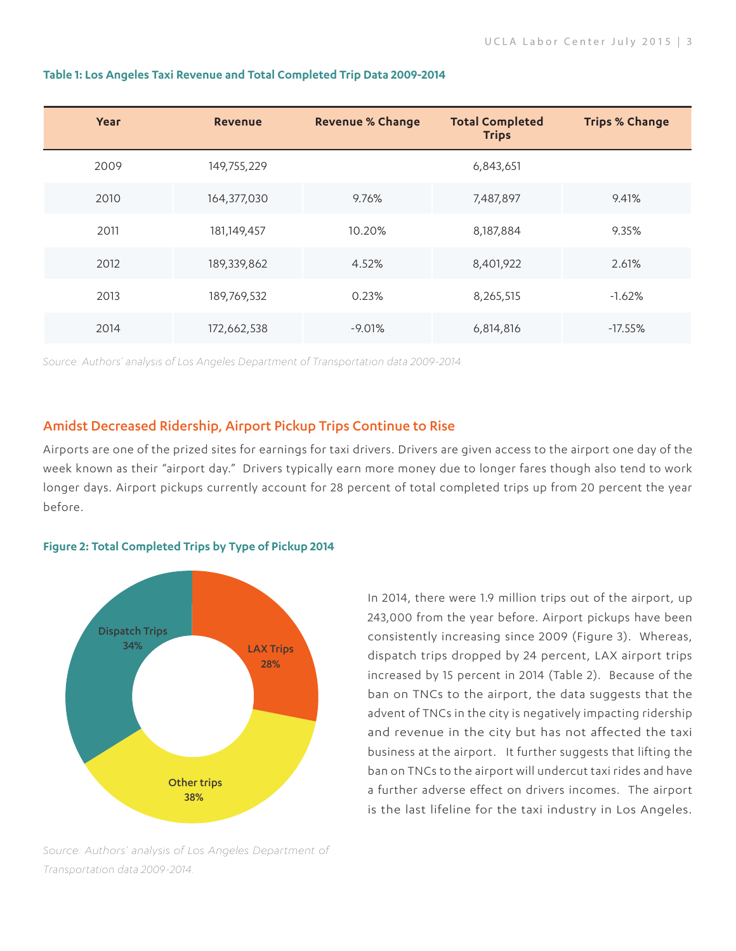| Year | <b>Revenue</b> | <b>Revenue % Change</b> | <b>Total Completed</b><br><b>Trips</b> | <b>Trips % Change</b> |
|------|----------------|-------------------------|----------------------------------------|-----------------------|
| 2009 | 149,755,229    |                         | 6,843,651                              |                       |
| 2010 | 164,377,030    | 9.76%                   | 7,487,897                              | 9.41%                 |
| 2011 | 181,149,457    | 10.20%                  | 8,187,884                              | 9.35%                 |
| 2012 | 189,339,862    | 4.52%                   | 8,401,922                              | 2.61%                 |
| 2013 | 189,769,532    | 0.23%                   | 8,265,515                              | $-1.62%$              |
| 2014 | 172,662,538    | $-9.01%$                | 6,814,816                              | $-17.55%$             |

#### **Table 1: Los Angeles Taxi Revenue and Total Completed Trip Data 2009-2014**

*Source: Authors' analysis of Los Angeles Department of Transportation data 2009-2014.*

#### Amidst Decreased Ridership, Airport Pickup Trips Continue to Rise

Airports are one of the prized sites for earnings for taxi drivers. Drivers are given access to the airport one day of the week known as their "airport day." Drivers typically earn more money due to longer fares though also tend to work longer days. Airport pickups currently account for 28 percent of total completed trips up from 20 percent the year before.

#### **Figure 2: Total Completed Trips by Type of Pickup 2014**



In 2014, there were 1.9 million trips out of the airport, up 243,000 from the year before. Airport pickups have been consistently increasing since 2009 (Figure 3). Whereas, dispatch trips dropped by 24 percent, LAX airport trips increased by 15 percent in 2014 (Table 2). Because of the ban on TNCs to the airport, the data suggests that the advent of TNCs in the city is negatively impacting ridership and revenue in the city but has not affected the taxi business at the airport. It further suggests that lifting the ban on TNCs to the airport will undercut taxi rides and have a further adverse effect on drivers incomes. The airport is the last lifeline for the taxi industry in Los Angeles.

*Source: Authors' analysis of Los Angeles Department of Transportation data 2009-2014.*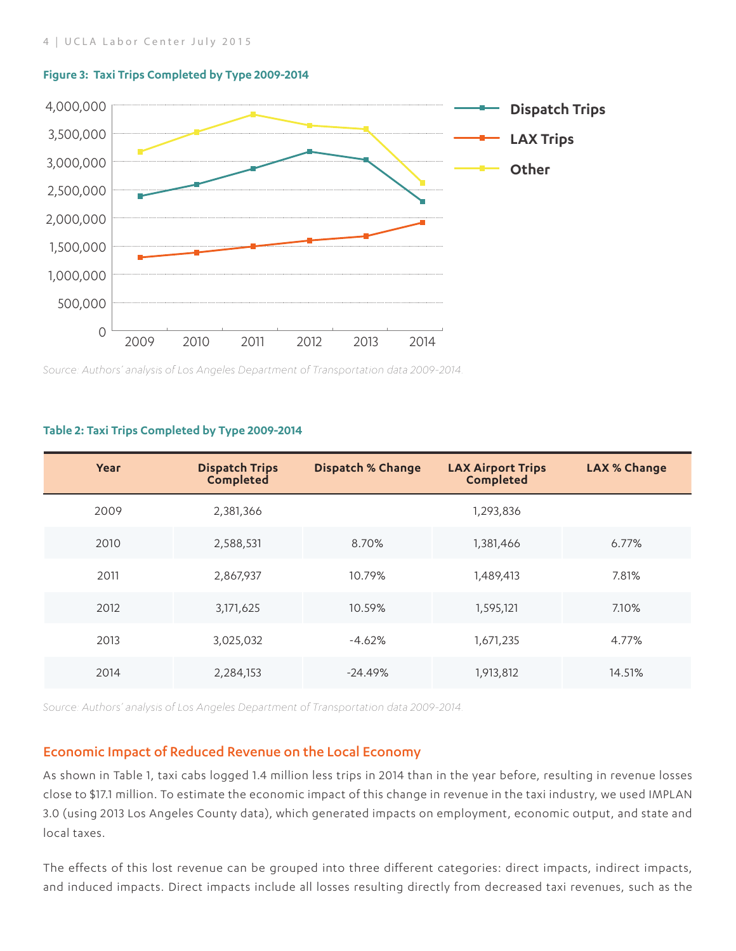

#### **Figure 3: Taxi Trips Completed by Type 2009-2014**

*Source: Authors' analysis of Los Angeles Department of Transportation data 2009-2014.*

#### **Table 2: Taxi Trips Completed by Type 2009-2014**

| Year | <b>Dispatch Trips</b><br>Completed | <b>Dispatch % Change</b> | <b>LAX Airport Trips</b><br><b>Completed</b> | <b>LAX % Change</b> |
|------|------------------------------------|--------------------------|----------------------------------------------|---------------------|
| 2009 | 2,381,366                          |                          | 1,293,836                                    |                     |
| 2010 | 2,588,531                          | 8.70%                    | 1,381,466                                    | 6.77%               |
| 2011 | 2,867,937                          | 10.79%                   | 1,489,413                                    | 7.81%               |
| 2012 | 3,171,625                          | 10.59%                   | 1,595,121                                    | 7.10%               |
| 2013 | 3,025,032                          | $-4.62%$                 | 1,671,235                                    | 4.77%               |
| 2014 | 2,284,153                          | $-24.49%$                | 1,913,812                                    | 14.51%              |

*Source: Authors' analysis of Los Angeles Department of Transportation data 2009-2014.*

### Economic Impact of Reduced Revenue on the Local Economy

As shown in Table 1, taxi cabs logged 1.4 million less trips in 2014 than in the year before, resulting in revenue losses close to \$17.1 million. To estimate the economic impact of this change in revenue in the taxi industry, we used IMPLAN 3.0 (using 2013 Los Angeles County data), which generated impacts on employment, economic output, and state and local taxes.

The effects of this lost revenue can be grouped into three different categories: direct impacts, indirect impacts, and induced impacts. Direct impacts include all losses resulting directly from decreased taxi revenues, such as the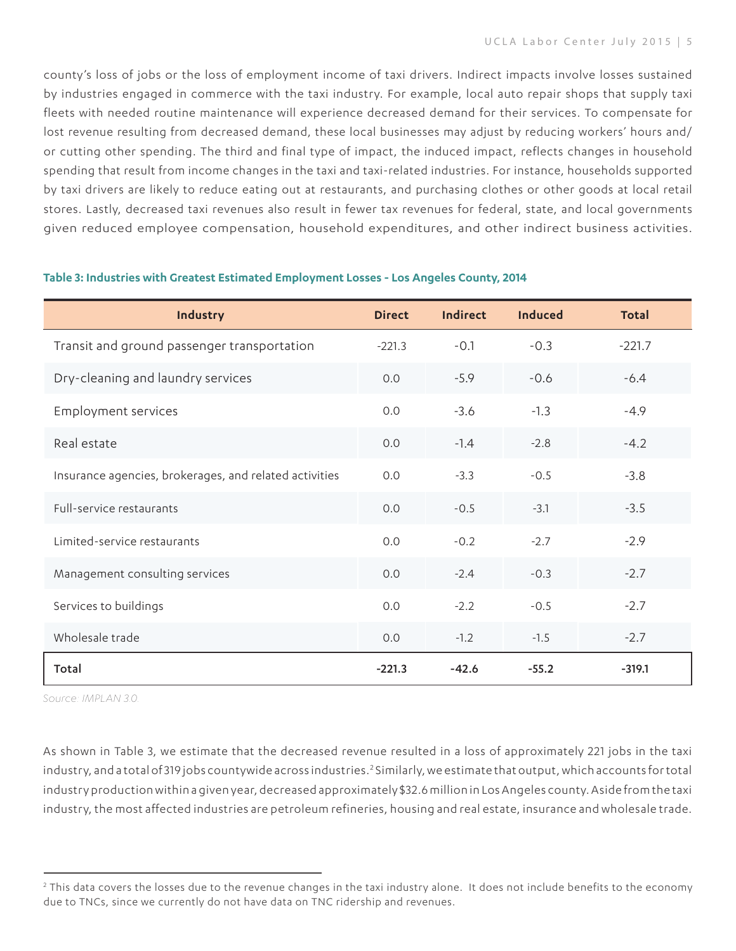county's loss of jobs or the loss of employment income of taxi drivers. Indirect impacts involve losses sustained by industries engaged in commerce with the taxi industry. For example, local auto repair shops that supply taxi fleets with needed routine maintenance will experience decreased demand for their services. To compensate for lost revenue resulting from decreased demand, these local businesses may adjust by reducing workers' hours and/ or cutting other spending. The third and final type of impact, the induced impact, reflects changes in household spending that result from income changes in the taxi and taxi-related industries. For instance, households supported by taxi drivers are likely to reduce eating out at restaurants, and purchasing clothes or other goods at local retail stores. Lastly, decreased taxi revenues also result in fewer tax revenues for federal, state, and local governments given reduced employee compensation, household expenditures, and other indirect business activities.

| Industry                                               | <b>Direct</b> | Indirect | <b>Induced</b> | Total    |
|--------------------------------------------------------|---------------|----------|----------------|----------|
| Transit and ground passenger transportation            | $-221.3$      | $-0.1$   | $-0.3$         | $-221.7$ |
| Dry-cleaning and laundry services                      | 0.0           | $-5.9$   | $-0.6$         | $-6.4$   |
| <b>Employment services</b>                             | 0.0           | $-3.6$   | $-1.3$         | $-4.9$   |
| Real estate                                            | 0.0           | $-1.4$   | $-2.8$         | $-4.2$   |
| Insurance agencies, brokerages, and related activities | 0.0           | $-3.3$   | $-0.5$         | $-3.8$   |
| Full-service restaurants                               | 0.0           | $-0.5$   | $-3.1$         | $-3.5$   |
| Limited-service restaurants                            | 0.0           | $-0.2$   | $-2.7$         | $-2.9$   |
| Management consulting services                         | 0.0           | $-2.4$   | $-0.3$         | $-2.7$   |
| Services to buildings                                  | 0.0           | $-2.2$   | $-0.5$         | $-2.7$   |
| Wholesale trade                                        | 0.0           | $-1.2$   | $-1.5$         | $-2.7$   |
| Total                                                  | $-221.3$      | $-42.6$  | $-55.2$        | $-319.1$ |

#### **Table 3: Industries with Greatest Estimated Employment Losses - Los Angeles County, 2014**

*Source: IMPLAN 3.0.* 

As shown in Table 3, we estimate that the decreased revenue resulted in a loss of approximately 221 jobs in the taxi industry, and a total of 319 jobs countywide across industries.<sup>2</sup> Similarly, we estimate that output, which accounts for total industry production within a given year, decreased approximately \$32.6 million in Los Angeles county. Aside from the taxi industry, the most affected industries are petroleum refineries, housing and real estate, insurance and wholesale trade.

 $^2$  This data covers the losses due to the revenue changes in the taxi industry alone. It does not include benefits to the economy due to TNCs, since we currently do not have data on TNC ridership and revenues.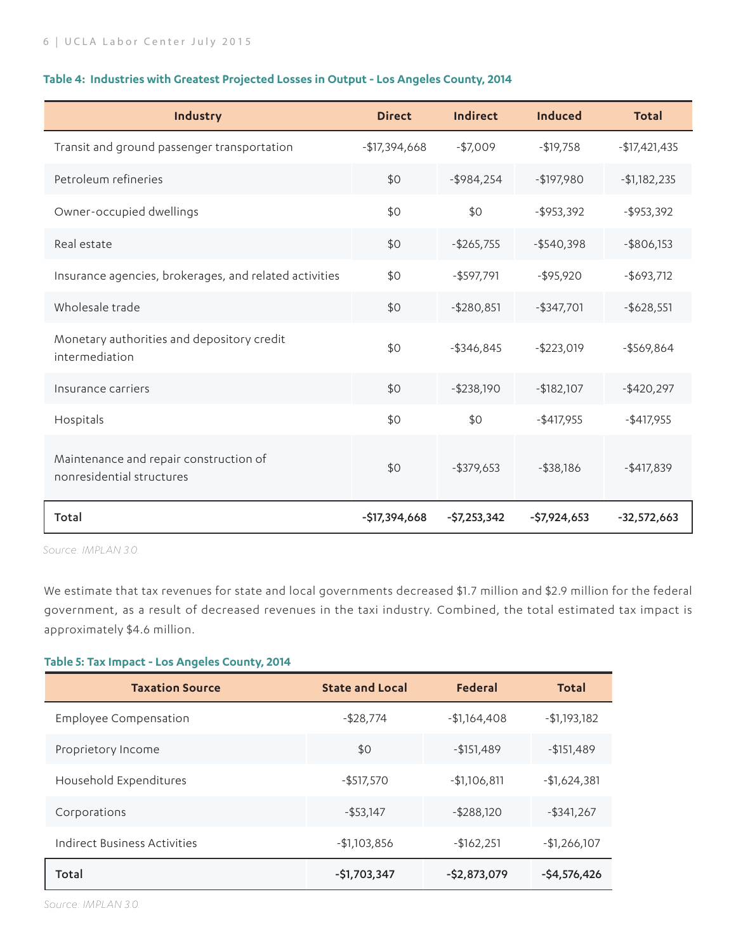#### **Table 4: Industries with Greatest Projected Losses in Output - Los Angeles County, 2014**

| Industry                                                            | <b>Direct</b>  | Indirect      | <b>Induced</b> | <b>Total</b>   |
|---------------------------------------------------------------------|----------------|---------------|----------------|----------------|
| Transit and ground passenger transportation                         | $-$17,394,668$ | $-$7,009$     | $-$19,758$     | $-$17,421,435$ |
| Petroleum refineries                                                | \$0            | $-$ \$984,254 | $-$197,980$    | $-$1,182,235$  |
| Owner-occupied dwellings                                            | \$0            | \$0           | $-$ \$953,392  | $-$ \$953,392  |
| Real estate                                                         | \$0            | $-$ \$265,755 | $-$ \$540,398  | $-$ \$806,153  |
| Insurance agencies, brokerages, and related activities              | \$0            | $-$ \$597,791 | $-$ \$95,920   | $-$ \$693,712  |
| Wholesale trade                                                     | \$0            | $- $280,851$  | $-$ \$347,701  | $-$ \$628,551  |
| Monetary authorities and depository credit<br>intermediation        | \$0            | $-$ \$346,845 | $-$ \$223,019  | $-$ \$569,864  |
| Insurance carriers                                                  | \$0            | $-$ \$238,190 | $-$182,107$    | $-$ \$420,297  |
| Hospitals                                                           | \$0            | \$0           | $-$ \$417,955  | $-$ \$417,955  |
| Maintenance and repair construction of<br>nonresidential structures | \$0            | $-$ \$379,653 | $-$ \$38,186   | $-$ \$417,839  |
| Total                                                               | $-$17,394,668$ | $-$7,253,342$ | $-$7,924,653$  | $-32,572,663$  |

*Source: IMPLAN 3.0.* 

We estimate that tax revenues for state and local governments decreased \$1.7 million and \$2.9 million for the federal government, as a result of decreased revenues in the taxi industry. Combined, the total estimated tax impact is approximately \$4.6 million.

#### **Table 5: Tax Impact - Los Angeles County, 2014**

| <b>Taxation Source</b>       | <b>State and Local</b> | <b>Federal</b> | <b>Total</b>    |
|------------------------------|------------------------|----------------|-----------------|
| Employee Compensation        | $-$ \$28,774           | $-$1,164,408$  | $-$ \$1,193,182 |
| Proprietory Income           | \$0                    | $-$151,489$    | $-$151,489$     |
| Household Expenditures       | $-$ \$517,570          | $-$1,106,811$  | $-$1,624,381$   |
| Corporations                 | $-$ \$53,147           | $-$ \$288,120  | $-$ \$341,267   |
| Indirect Business Activities | $-$1,103,856$          | $-$162,251$    | $-$1,266,107$   |
| Total                        | -\$1,703,347           | $-$2,873,079$  | $-54,576,426$   |

*Source: IMPLAN 3.0.*